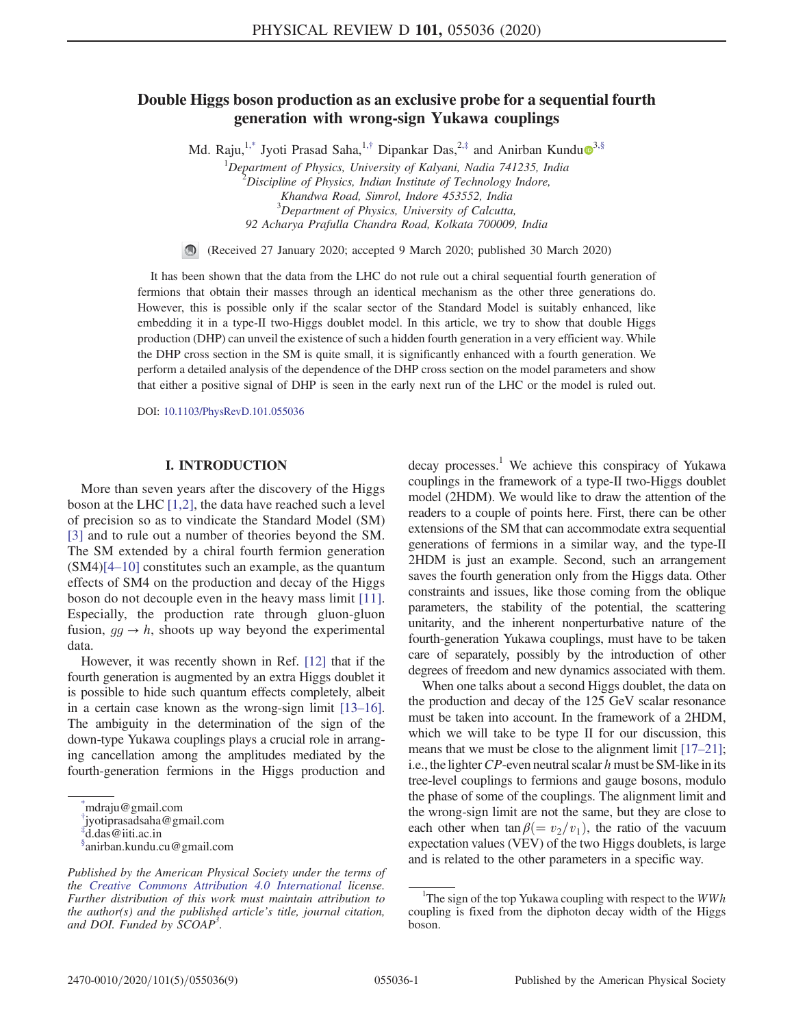# Double Higgs boson production as an exclusive probe for a sequential fourth generation with wrong-sign Yukawa couplings

Md. Raju,<sup>1,\*</sup> Jyoti Prasad Saha,<sup>1,†</sup> Dipankar Das,<sup>2,‡</sup> and Anirban Kundu<sup>®3,§</sup>

<sup>1</sup>*Department of Physics, University of Kalyani, Nadia 741235, India* <sup>2</sup>*Discipline of Physics, Indian Institute of Technology Indore, Khandwa Road, Simrol, Indore 453552, India* <sup>3</sup>*Department of Physics, University of Calcutta, 92 Acharya Prafulla Chandra Road, Kolkata 700009, India*

(Received 27 January 2020; accepted 9 March 2020; published 30 March 2020)

It has been shown that the data from the LHC do not rule out a chiral sequential fourth generation of fermions that obtain their masses through an identical mechanism as the other three generations do. However, this is possible only if the scalar sector of the Standard Model is suitably enhanced, like embedding it in a type-II two-Higgs doublet model. In this article, we try to show that double Higgs production (DHP) can unveil the existence of such a hidden fourth generation in a very efficient way. While the DHP cross section in the SM is quite small, it is significantly enhanced with a fourth generation. We perform a detailed analysis of the dependence of the DHP cross section on the model parameters and show that either a positive signal of DHP is seen in the early next run of the LHC or the model is ruled out.

DOI: 10.1103/PhysRevD.101.055036

#### I. INTRODUCTION

More than seven years after the discovery of the Higgs boson at the LHC [1,2], the data have reached such a level of precision so as to vindicate the Standard Model (SM) [3] and to rule out a number of theories beyond the SM. The SM extended by a chiral fourth fermion generation  $(SM4)[4–10]$  constitutes such an example, as the quantum effects of SM4 on the production and decay of the Higgs boson do not decouple even in the heavy mass limit [11]. Especially, the production rate through gluon-gluon fusion,  $qa \rightarrow h$ , shoots up way beyond the experimental data.

However, it was recently shown in Ref. [12] that if the fourth generation is augmented by an extra Higgs doublet it is possible to hide such quantum effects completely, albeit in a certain case known as the wrong-sign limit [13–16]. The ambiguity in the determination of the sign of the down-type Yukawa couplings plays a crucial role in arranging cancellation among the amplitudes mediated by the fourth-generation fermions in the Higgs production and  $decay$  processes.<sup>1</sup> We achieve this conspiracy of Yukawa couplings in the framework of a type-II two-Higgs doublet model (2HDM). We would like to draw the attention of the readers to a couple of points here. First, there can be other extensions of the SM that can accommodate extra sequential generations of fermions in a similar way, and the type-II 2HDM is just an example. Second, such an arrangement saves the fourth generation only from the Higgs data. Other constraints and issues, like those coming from the oblique parameters, the stability of the potential, the scattering unitarity, and the inherent nonperturbative nature of the fourth-generation Yukawa couplings, must have to be taken care of separately, possibly by the introduction of other degrees of freedom and new dynamics associated with them.

When one talks about a second Higgs doublet, the data on the production and decay of the 125 GeV scalar resonance must be taken into account. In the framework of a 2HDM, which we will take to be type II for our discussion, this means that we must be close to the alignment limit [17–21]; i.e., the lighter  $CP$ -even neutral scalar h must be SM-like in its tree-level couplings to fermions and gauge bosons, modulo the phase of some of the couplings. The alignment limit and the wrong-sign limit are not the same, but they are close to each other when  $\tan \beta (= v_2/v_1)$ , the ratio of the vacuum expectation values (VEV) of the two Higgs doublets, is large and is related to the other parameters in a specific way.

mdraju@gmail.com

<sup>†</sup> jyotiprasadsaha@gmail.com

<sup>‡</sup> d.das@iiti.ac.in

<sup>§</sup> anirban.kundu.cu@gmail.com

*Published by the American Physical Society under the terms of the Creative Commons Attribution 4.0 International license. Further distribution of this work must maintain attribution to the author(s) and the published article*'*s title, journal citation, and DOI. Funded by SCOAP<sup>3</sup> .*

<sup>&</sup>lt;sup>1</sup>The sign of the top Yukawa coupling with respect to the  $WWh$ coupling is fixed from the diphoton decay width of the Higgs boson.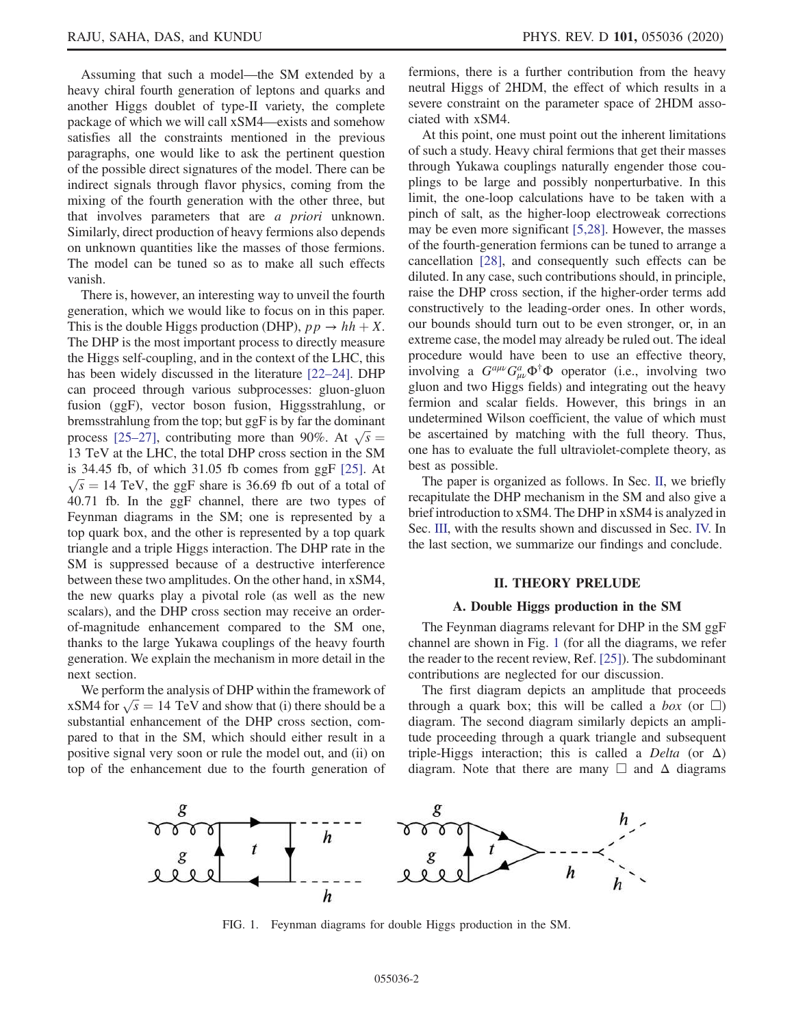Assuming that such a model—the SM extended by a heavy chiral fourth generation of leptons and quarks and another Higgs doublet of type-II variety, the complete package of which we will call xSM4—exists and somehow satisfies all the constraints mentioned in the previous paragraphs, one would like to ask the pertinent question of the possible direct signatures of the model. There can be indirect signals through flavor physics, coming from the mixing of the fourth generation with the other three, but that involves parameters that are *a priori* unknown. Similarly, direct production of heavy fermions also depends on unknown quantities like the masses of those fermions. The model can be tuned so as to make all such effects vanish.

There is, however, an interesting way to unveil the fourth generation, which we would like to focus on in this paper. This is the double Higgs production (DHP),  $p p \rightarrow hh + X$ . The DHP is the most important process to directly measure the Higgs self-coupling, and in the context of the LHC, this has been widely discussed in the literature [22–24]. DHP can proceed through various subprocesses: gluon-gluon fusion (ggF), vector boson fusion, Higgsstrahlung, or bremsstrahlung from the top; but ggF is by far the dominant process [25–27], contributing more than 90%. At  $\sqrt{s}$ 13 TeV at the LHC, the total DHP cross section in the SM is 34.45 fb, of which 31.05 fb comes from ggF [25]. At  $\sqrt{s}$  = 14 TeV, the ggF share is 36.69 fb out of a total of 40.71 fb. In the ggF channel, there are two types of Feynman diagrams in the SM; one is represented by a top quark box, and the other is represented by a top quark triangle and a triple Higgs interaction. The DHP rate in the SM is suppressed because of a destructive interference between these two amplitudes. On the other hand, in xSM4, the new quarks play a pivotal role (as well as the new scalars), and the DHP cross section may receive an orderof-magnitude enhancement compared to the SM one, thanks to the large Yukawa couplings of the heavy fourth generation. We explain the mechanism in more detail in the next section.

We perform the analysis of DHP within the framework of xSM4 for  $\sqrt{s}$  = 14 TeV and show that (i) there should be a substantial enhancement of the DHP cross section, compared to that in the SM, which should either result in a positive signal very soon or rule the model out, and (ii) on top of the enhancement due to the fourth generation of fermions, there is a further contribution from the heavy neutral Higgs of 2HDM, the effect of which results in a severe constraint on the parameter space of 2HDM associated with xSM4.

At this point, one must point out the inherent limitations of such a study. Heavy chiral fermions that get their masses through Yukawa couplings naturally engender those couplings to be large and possibly nonperturbative. In this limit, the one-loop calculations have to be taken with a pinch of salt, as the higher-loop electroweak corrections may be even more significant [5,28]. However, the masses of the fourth-generation fermions can be tuned to arrange a cancellation [28], and consequently such effects can be diluted. In any case, such contributions should, in principle, raise the DHP cross section, if the higher-order terms add constructively to the leading-order ones. In other words, our bounds should turn out to be even stronger, or, in an extreme case, the model may already be ruled out. The ideal procedure would have been to use an effective theory, involving a  $G^{a\mu\nu}G^a_{\mu\nu}\Phi^{\dagger}\Phi$  operator (i.e., involving two gluon and two Higgs fields) and integrating out the heavy fermion and scalar fields. However, this brings in an undetermined Wilson coefficient, the value of which must be ascertained by matching with the full theory. Thus, one has to evaluate the full ultraviolet-complete theory, as best as possible.

The paper is organized as follows. In Sec. II, we briefly recapitulate the DHP mechanism in the SM and also give a brief introduction to xSM4. The DHP in xSM4 is analyzed in Sec. III, with the results shown and discussed in Sec. IV. In the last section, we summarize our findings and conclude.

#### II. THEORY PRELUDE

#### A. Double Higgs production in the SM

The Feynman diagrams relevant for DHP in the SM ggF channel are shown in Fig. 1 (for all the diagrams, we refer the reader to the recent review, Ref. [25]). The subdominant contributions are neglected for our discussion.

The first diagram depicts an amplitude that proceeds through a quark box; this will be called a *box* (or  $\square$ ) diagram. The second diagram similarly depicts an amplitude proceeding through a quark triangle and subsequent triple-Higgs interaction; this is called a *Delta* (or Δ) diagram. Note that there are many  $\Box$  and  $\Delta$  diagrams



FIG. 1. Feynman diagrams for double Higgs production in the SM.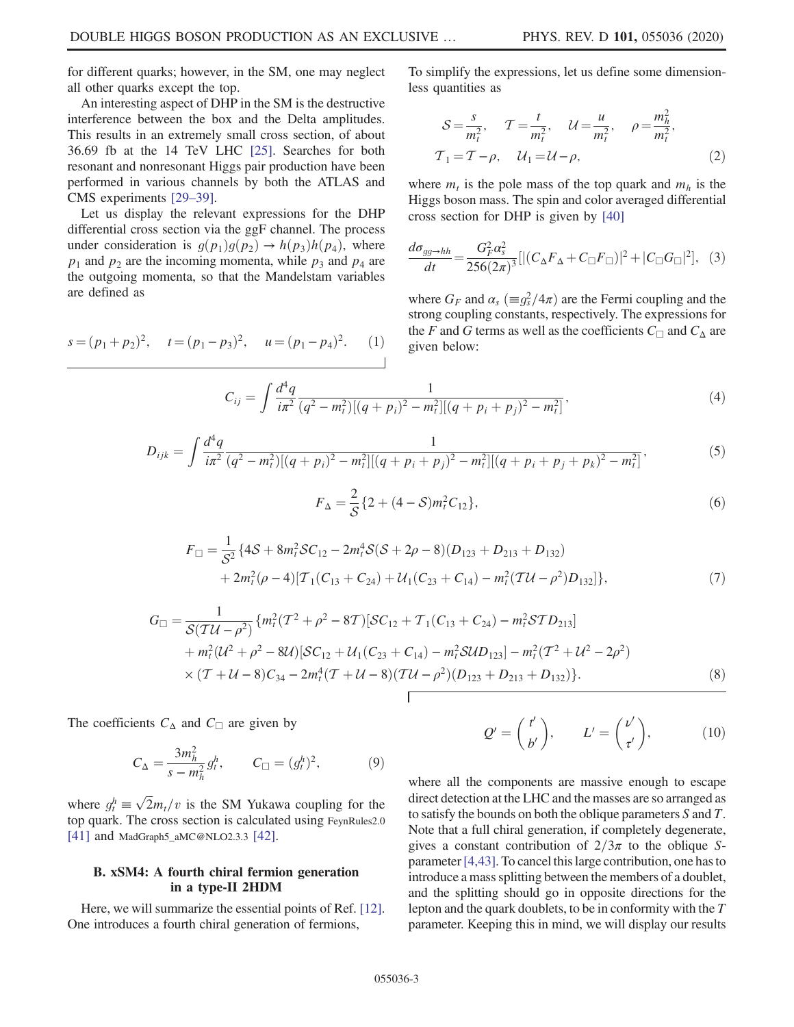for different quarks; however, in the SM, one may neglect all other quarks except the top.

An interesting aspect of DHP in the SM is the destructive interference between the box and the Delta amplitudes. This results in an extremely small cross section, of about 36.69 fb at the 14 TeV LHC [25]. Searches for both resonant and nonresonant Higgs pair production have been performed in various channels by both the ATLAS and CMS experiments [29–39].

Let us display the relevant expressions for the DHP differential cross section via the ggF channel. The process under consideration is  $g(p_1)g(p_2) \rightarrow h(p_3)h(p_4)$ , where  $p_1$  and  $p_2$  are the incoming momenta, while  $p_3$  and  $p_4$  are the outgoing momenta, so that the Mandelstam variables are defined as

$$
s = (p_1 + p_2)^2, \quad t = (p_1 - p_3)^2, \quad u = (p_1 - p_4)^2. \tag{1}
$$

To simplify the expressions, let us define some dimensionless quantities as

$$
S = \frac{s}{m_t^2}, \quad T = \frac{t}{m_t^2}, \quad U = \frac{u}{m_t^2}, \quad \rho = \frac{m_h^2}{m_t^2},
$$
  

$$
T_1 = T - \rho, \quad U_1 = U - \rho,
$$
 (2)

where  $m_t$  is the pole mass of the top quark and  $m_h$  is the Higgs boson mass. The spin and color averaged differential cross section for DHP is given by [40]

$$
\frac{d\sigma_{gg\to hh}}{dt} = \frac{G_F^2 \alpha_s^2}{256(2\pi)^3} \left[ |(C_\Delta F_\Delta + C_\Box F_\Box)|^2 + |C_\Box G_\Box|^2 \right], \tag{3}
$$

where  $G_F$  and  $\alpha_s$  ( $\equiv g_s^2/4\pi$ ) are the Fermi coupling and the strong coupling constants, respectively. The expressions for the F and G terms as well as the coefficients  $C_{\Box}$  and  $C_{\Delta}$  are given below:

$$
C_{ij} = \int \frac{d^4q}{i\pi^2} \frac{1}{(q^2 - m_t^2)[(q + p_i)^2 - m_t^2][(q + p_i + p_j)^2 - m_t^2]},
$$
\n(4)

$$
D_{ijk} = \int \frac{d^4q}{i\pi^2} \frac{1}{(q^2 - m_t^2)[(q + p_i)^2 - m_t^2][(q + p_i + p_j)^2 - m_t^2][(q + p_i + p_j + p_k)^2 - m_t^2]},
$$
\n(5)

$$
F_{\Delta} = \frac{2}{S} \{ 2 + (4 - S)m_t^2 C_{12} \},\tag{6}
$$

$$
F_{\square} = \frac{1}{S^2} \{ 4S + 8m_t^2 SC_{12} - 2m_t^4 S(S + 2\rho - 8)(D_{123} + D_{213} + D_{132})
$$
  
+ 2m\_t^2 (\rho - 4) [T\_1(C\_{13} + C\_{24}) + U\_1(C\_{23} + C\_{14}) - m\_t^2 (TU - \rho^2)D\_{132}] \}, (7)

$$
G_{\square} = \frac{1}{\mathcal{S}(\mathcal{T}U - \rho^2)} \{ m_t^2 (\mathcal{T}^2 + \rho^2 - 8\mathcal{T}) [\mathcal{S}C_{12} + \mathcal{T}_1(C_{13} + C_{24}) - m_t^2 \mathcal{S} \mathcal{T} D_{213}] + m_t^2 (\mathcal{U}^2 + \rho^2 - 8\mathcal{U}) [\mathcal{S}C_{12} + \mathcal{U}_1(C_{23} + C_{14}) - m_t^2 \mathcal{S} \mathcal{U} D_{123}] - m_t^2 (\mathcal{T}^2 + \mathcal{U}^2 - 2\rho^2) \times (\mathcal{T} + \mathcal{U} - 8) C_{34} - 2m_t^4 (\mathcal{T} + \mathcal{U} - 8) (\mathcal{T}U - \rho^2) (D_{123} + D_{213} + D_{132}) \}.
$$
\n(8)

The coefficients  $C_{\Delta}$  and  $C_{\Box}$  are given by

$$
C_{\Delta} = \frac{3m_h^2}{s - m_h^2} g_t^h, \qquad C_{\square} = (g_t^h)^2, \tag{9}
$$

where  $g_t^h \equiv \sqrt{2}m_t/v$  is the SM Yukawa coupling for the top quark. The cross section is calculated using FeynRules2.0 [41] and MadGraph5\_aMC@NLO2.3.3 [42].

## B. xSM4: A fourth chiral fermion generation in a type-II 2HDM

Here, we will summarize the essential points of Ref. [12]. One introduces a fourth chiral generation of fermions,

$$
Q' = \begin{pmatrix} t' \\ b' \end{pmatrix}, \qquad L' = \begin{pmatrix} t' \\ \tau' \end{pmatrix}, \tag{10}
$$

where all the components are massive enough to escape direct detection at the LHC and the masses are so arranged as to satisfy the bounds on both the oblique parameters S and T. Note that a full chiral generation, if completely degenerate, gives a constant contribution of  $2/3\pi$  to the oblique Sparameter[4,43]. To cancel this large contribution, one has to introduce a mass splitting between the members of a doublet, and the splitting should go in opposite directions for the lepton and the quark doublets, to be in conformity with the T parameter. Keeping this in mind, we will display our results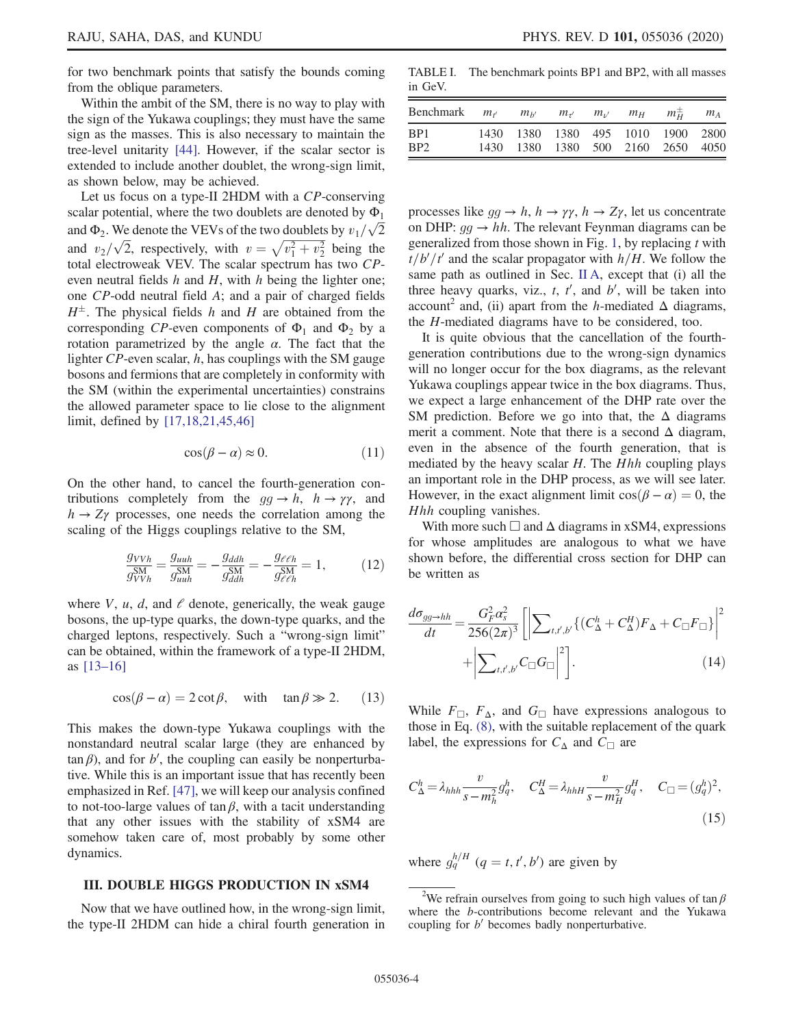for two benchmark points that satisfy the bounds coming from the oblique parameters.

Within the ambit of the SM, there is no way to play with the sign of the Yukawa couplings; they must have the same sign as the masses. This is also necessary to maintain the tree-level unitarity [44]. However, if the scalar sector is extended to include another doublet, the wrong-sign limit, as shown below, may be achieved.

Let us focus on a type-II 2HDM with a CP-conserving scalar potential, where the two doublets are denoted by  $\Phi_1$ and  $\Phi_2$ . We denote the VEVs of the two doublets by  $v_1/\sqrt{2}$ and  $v_2/\sqrt{2}$ , respectively, with  $v = \sqrt{v_1^2 + v_2^2}$  being the total electroweak VEV. The scalar spectrum has two CPeven neutral fields  $h$  and  $H$ , with  $h$  being the lighter one; one CP-odd neutral field A; and a pair of charged fields  $H^{\pm}$ . The physical fields h and H are obtained from the corresponding CP-even components of  $\Phi_1$  and  $\Phi_2$  by a rotation parametrized by the angle  $\alpha$ . The fact that the lighter  $CP$ -even scalar,  $h$ , has couplings with the SM gauge bosons and fermions that are completely in conformity with the SM (within the experimental uncertainties) constrains the allowed parameter space to lie close to the alignment limit, defined by [17,18,21,45,46]

$$
\cos(\beta - \alpha) \approx 0. \tag{11}
$$

On the other hand, to cancel the fourth-generation contributions completely from the  $gg \to h$ ,  $h \to \gamma \gamma$ , and  $h \rightarrow Z\gamma$  processes, one needs the correlation among the scaling of the Higgs couplings relative to the SM,

$$
\frac{g_{VVh}}{g_{VVh}^{\rm SM}} = \frac{g_{uuh}}{g_{uuh}^{\rm SM}} = -\frac{g_{ddh}}{g_{ddh}^{\rm SM}} = -\frac{g_{\ell\ell h}}{g_{\ell\ell h}^{\rm SM}} = 1,\tag{12}
$$

where V, u, d, and  $\ell$  denote, generically, the weak gauge bosons, the up-type quarks, the down-type quarks, and the charged leptons, respectively. Such a "wrong-sign limit" can be obtained, within the framework of a type-II 2HDM, as [13–16]

$$
\cos(\beta - \alpha) = 2\cot\beta, \quad \text{with} \quad \tan\beta \gg 2. \tag{13}
$$

This makes the down-type Yukawa couplings with the nonstandard neutral scalar large (they are enhanced by  $\tan \beta$ ), and for b', the coupling can easily be nonperturbative. While this is an important issue that has recently been emphasized in Ref. [47], we will keep our analysis confined to not-too-large values of tan  $\beta$ , with a tacit understanding that any other issues with the stability of xSM4 are somehow taken care of, most probably by some other dynamics.

### III. DOUBLE HIGGS PRODUCTION IN xSM4

Now that we have outlined how, in the wrong-sign limit, the type-II 2HDM can hide a chiral fourth generation in

TABLE I. The benchmark points BP1 and BP2, with all masses in GeV.

| Benchmark $m_{t'}$ $m_{b'}$ $m_{\tau'}$ $m_{\nu'}$ $m_H$ $m_H^{\pm}$ $m_A$ |  |  |                                   |  |
|----------------------------------------------------------------------------|--|--|-----------------------------------|--|
| BP <sub>1</sub>                                                            |  |  | 1430 1380 1380 495 1010 1900 2800 |  |
| BP2                                                                        |  |  | 1430 1380 1380 500 2160 2650 4050 |  |

processes like  $gg \to h$ ,  $h \to \gamma \gamma$ ,  $h \to Z \gamma$ , let us concentrate on DHP:  $gg \rightarrow hh$ . The relevant Feynman diagrams can be generalized from those shown in Fig. 1, by replacing  $t$  with  $t/b'/t'$  and the scalar propagator with  $h/H$ . We follow the same path as outlined in Sec. II A, except that (i) all the three heavy quarks, viz.,  $t$ ,  $t'$ , and  $b'$ , will be taken into account<sup>2</sup> and, (ii) apart from the h-mediated  $\Delta$  diagrams, the H-mediated diagrams have to be considered, too.

It is quite obvious that the cancellation of the fourthgeneration contributions due to the wrong-sign dynamics will no longer occur for the box diagrams, as the relevant Yukawa couplings appear twice in the box diagrams. Thus, we expect a large enhancement of the DHP rate over the SM prediction. Before we go into that, the  $\Delta$  diagrams merit a comment. Note that there is a second  $\Delta$  diagram, even in the absence of the fourth generation, that is mediated by the heavy scalar  $H$ . The  $Hhh$  coupling plays an important role in the DHP process, as we will see later. However, in the exact alignment limit  $cos(\beta - \alpha) = 0$ , the Hhh coupling vanishes.

With more such  $\Box$  and  $\Delta$  diagrams in xSM4, expressions for whose amplitudes are analogous to what we have shown before, the differential cross section for DHP can be written as

$$
\frac{d\sigma_{gg \to hh}}{dt} = \frac{G_F^2 \alpha_s^2}{256(2\pi)^3} \left[ \left| \sum_{t,t',b'} \left\{ (C_\Delta^h + C_\Delta^H) F_\Delta + C_\square F_\square \right\} \right|^2 + \left| \sum_{t,t',b'} C_\square G_\square \right|^2 \right].
$$
\n(14)

While  $F_{\Box}$ ,  $F_{\Delta}$ , and  $G_{\Box}$  have expressions analogous to those in Eq. (8), with the suitable replacement of the quark label, the expressions for  $C_{\Delta}$  and  $C_{\Box}$  are

$$
C^h_{\Delta} = \lambda_{hhh} \frac{v}{s - m_h^2} g_q^h, \quad C^H_{\Delta} = \lambda_{hhh} \frac{v}{s - m_H^2} g_q^H, \quad C_{\square} = (g_q^h)^2,
$$
\n(15)

where  $g_q^{h/H}$   $(q = t, t', b')$  are given by

<sup>&</sup>lt;sup>2</sup>We refrain ourselves from going to such high values of tan  $\beta$ where the b-contributions become relevant and the Yukawa coupling for  $b'$  becomes badly nonperturbative.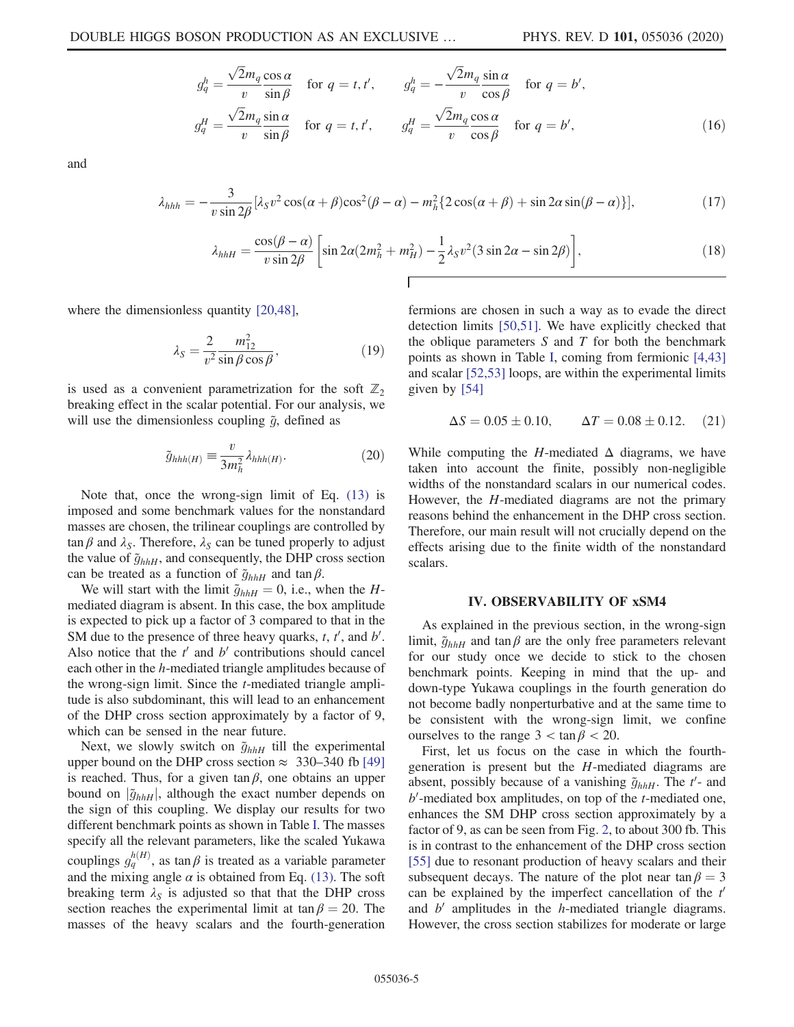$$
g_q^h = \frac{\sqrt{2}m_q \cos \alpha}{v \sin \beta} \quad \text{for } q = t, t', \qquad g_q^h = -\frac{\sqrt{2}m_q \sin \alpha}{v \cos \beta} \quad \text{for } q = b',
$$
  

$$
g_q^H = \frac{\sqrt{2}m_q \sin \alpha}{v \sin \beta} \quad \text{for } q = t, t', \qquad g_q^H = \frac{\sqrt{2}m_q \cos \alpha}{v \cos \beta} \quad \text{for } q = b',
$$
 (16)

and

$$
\lambda_{hhh} = -\frac{3}{v\sin 2\beta} [\lambda_S v^2 \cos(\alpha + \beta)\cos^2(\beta - \alpha) - m_h^2 \{2\cos(\alpha + \beta) + \sin 2\alpha \sin(\beta - \alpha)\}],\tag{17}
$$

$$
\lambda_{hhH} = \frac{\cos(\beta - \alpha)}{v \sin 2\beta} \left[ \sin 2\alpha (2m_h^2 + m_H^2) - \frac{1}{2} \lambda_S v^2 (3 \sin 2\alpha - \sin 2\beta) \right],\tag{18}
$$

where the dimensionless quantity [20,48],

$$
\lambda_S = \frac{2}{v^2} \frac{m_{12}^2}{\sin \beta \cos \beta},\tag{19}
$$

is used as a convenient parametrization for the soft  $\mathbb{Z}_2$ breaking effect in the scalar potential. For our analysis, we will use the dimensionless coupling  $\tilde{g}$ , defined as

$$
\tilde{g}_{hhh(H)} \equiv \frac{v}{3m_h^2} \lambda_{hhh(H)}.
$$
\n(20)

Note that, once the wrong-sign limit of Eq. (13) is imposed and some benchmark values for the nonstandard masses are chosen, the trilinear couplings are controlled by  $\tan \beta$  and  $\lambda_S$ . Therefore,  $\lambda_S$  can be tuned properly to adjust the value of  $\tilde{g}_{hhH}$ , and consequently, the DHP cross section can be treated as a function of  $\tilde{g}_{hhH}$  and tan  $\beta$ .

We will start with the limit  $\tilde{g}_{hhH} = 0$ , i.e., when the Hmediated diagram is absent. In this case, the box amplitude is expected to pick up a factor of 3 compared to that in the SM due to the presence of three heavy quarks,  $t$ ,  $t'$ , and  $b'$ . Also notice that the  $t'$  and  $b'$  contributions should cancel each other in the h-mediated triangle amplitudes because of the wrong-sign limit. Since the t-mediated triangle amplitude is also subdominant, this will lead to an enhancement of the DHP cross section approximately by a factor of 9, which can be sensed in the near future.

Next, we slowly switch on  $\tilde{g}_{hhH}$  till the experimental upper bound on the DHP cross section  $\approx$  330–340 fb [49] is reached. Thus, for a given  $tan \beta$ , one obtains an upper bound on  $|\tilde{g}_{hhH}|$ , although the exact number depends on the sign of this coupling. We display our results for two different benchmark points as shown in Table I. The masses specify all the relevant parameters, like the scaled Yukawa couplings  $g_q^{h(H)}$ , as tan  $\beta$  is treated as a variable parameter and the mixing angle  $\alpha$  is obtained from Eq. (13). The soft breaking term  $\lambda_s$  is adjusted so that that the DHP cross section reaches the experimental limit at tan  $\beta = 20$ . The masses of the heavy scalars and the fourth-generation fermions are chosen in such a way as to evade the direct detection limits [50,51]. We have explicitly checked that the oblique parameters  $S$  and  $T$  for both the benchmark points as shown in Table I, coming from fermionic [4,43] and scalar [52,53] loops, are within the experimental limits given by [54]

$$
\Delta S = 0.05 \pm 0.10, \qquad \Delta T = 0.08 \pm 0.12. \quad (21)
$$

While computing the H-mediated  $\Delta$  diagrams, we have taken into account the finite, possibly non-negligible widths of the nonstandard scalars in our numerical codes. However, the  $H$ -mediated diagrams are not the primary reasons behind the enhancement in the DHP cross section. Therefore, our main result will not crucially depend on the effects arising due to the finite width of the nonstandard scalars.

#### IV. OBSERVABILITY OF xSM4

As explained in the previous section, in the wrong-sign limit,  $\tilde{g}_{hhH}$  and tan  $\beta$  are the only free parameters relevant for our study once we decide to stick to the chosen benchmark points. Keeping in mind that the up- and down-type Yukawa couplings in the fourth generation do not become badly nonperturbative and at the same time to be consistent with the wrong-sign limit, we confine ourselves to the range  $3 < \tan \beta < 20$ .

First, let us focus on the case in which the fourthgeneration is present but the H-mediated diagrams are absent, possibly because of a vanishing  $\tilde{g}_{hhH}$ . The  $t'$ - and  $b'$ -mediated box amplitudes, on top of the  $t$ -mediated one, enhances the SM DHP cross section approximately by a factor of 9, as can be seen from Fig. 2, to about 300 fb. This is in contrast to the enhancement of the DHP cross section [55] due to resonant production of heavy scalars and their subsequent decays. The nature of the plot near  $\tan \beta = 3$ can be explained by the imperfect cancellation of the  $t'$ and  $b'$  amplitudes in the *h*-mediated triangle diagrams. However, the cross section stabilizes for moderate or large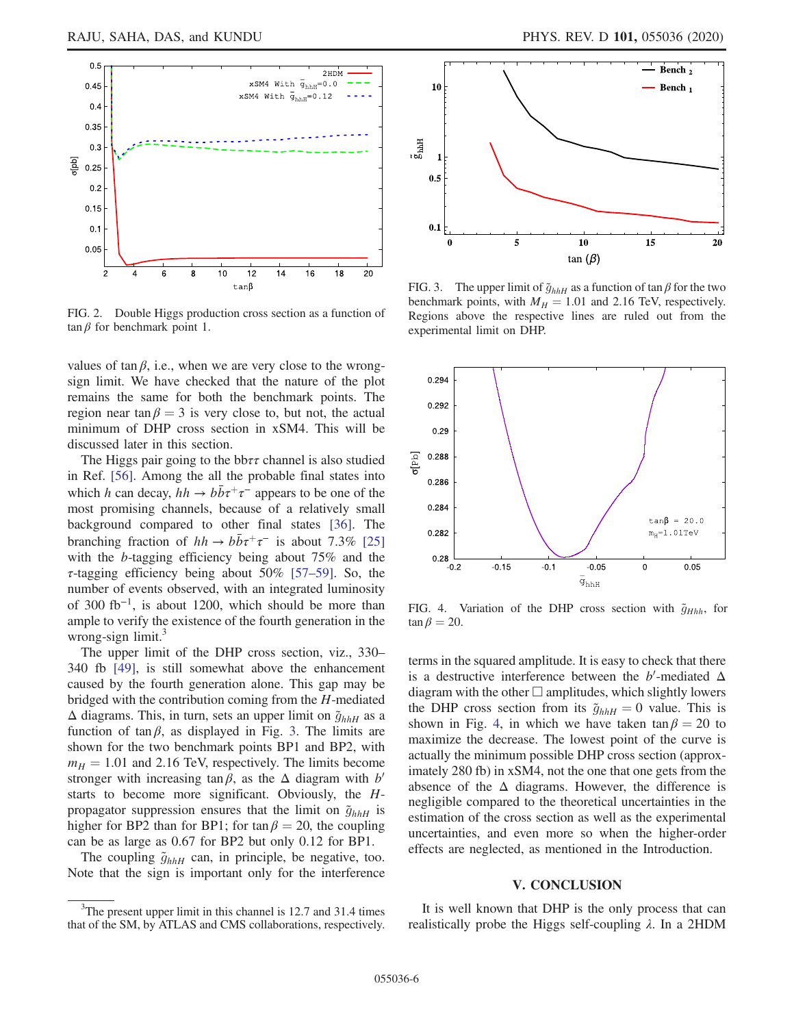

FIG. 2. Double Higgs production cross section as a function of  $\tan \beta$  for benchmark point 1.

values of tan  $\beta$ , i.e., when we are very close to the wrongsign limit. We have checked that the nature of the plot remains the same for both the benchmark points. The region near tan  $\beta = 3$  is very close to, but not, the actual minimum of DHP cross section in xSM4. This will be discussed later in this section.

The Higgs pair going to the bb $\tau\tau$  channel is also studied in Ref. [56]. Among the all the probable final states into which h can decay,  $hh \rightarrow b\bar{b}\tau^{+}\tau^{-}$  appears to be one of the most promising channels, because of a relatively small background compared to other final states [36]. The branching fraction of  $hh \rightarrow b\bar{b}\tau^{+}\tau^{-}$  is about 7.3% [25] with the b-tagging efficiency being about 75% and the  $\tau$ -tagging efficiency being about 50% [57–59]. So, the number of events observed, with an integrated luminosity of 300 fb<sup>−</sup><sup>1</sup> , is about 1200, which should be more than ample to verify the existence of the fourth generation in the wrong-sign  $limit.<sup>3</sup>$ 

The upper limit of the DHP cross section, viz., 330– 340 fb [49], is still somewhat above the enhancement caused by the fourth generation alone. This gap may be bridged with the contribution coming from the H-mediated  $\Delta$  diagrams. This, in turn, sets an upper limit on  $\tilde{g}_{hhH}$  as a function of tan  $\beta$ , as displayed in Fig. 3. The limits are shown for the two benchmark points BP1 and BP2, with  $m_H = 1.01$  and 2.16 TeV, respectively. The limits become stronger with increasing tan $\beta$ , as the  $\Delta$  diagram with b' starts to become more significant. Obviously, the Hpropagator suppression ensures that the limit on  $\tilde{g}_{hhH}$  is higher for BP2 than for BP1; for tan  $\beta = 20$ , the coupling can be as large as 0.67 for BP2 but only 0.12 for BP1.

The coupling  $\tilde{g}_{hhH}$  can, in principle, be negative, too. Note that the sign is important only for the interference



FIG. 3. The upper limit of  $\tilde{g}_{hhH}$  as a function of tan  $\beta$  for the two benchmark points, with  $M_H = 1.01$  and 2.16 TeV, respectively. Regions above the respective lines are ruled out from the experimental limit on DHP.



FIG. 4. Variation of the DHP cross section with  $\tilde{g}_{Hhh}$ , for  $\tan \beta = 20.$ 

terms in the squared amplitude. It is easy to check that there is a destructive interference between the b'-mediated  $\Delta$ diagram with the other  $\square$  amplitudes, which slightly lowers the DHP cross section from its  $\tilde{g}_{hhH} = 0$  value. This is shown in Fig. 4, in which we have taken  $\tan \beta = 20$  to maximize the decrease. The lowest point of the curve is actually the minimum possible DHP cross section (approximately 280 fb) in xSM4, not the one that one gets from the absence of the  $\Delta$  diagrams. However, the difference is negligible compared to the theoretical uncertainties in the estimation of the cross section as well as the experimental uncertainties, and even more so when the higher-order effects are neglected, as mentioned in the Introduction.

## V. CONCLUSION

It is well known that DHP is the only process that can realistically probe the Higgs self-coupling λ. In a 2HDM

 $3$ The present upper limit in this channel is 12.7 and 31.4 times that of the SM, by ATLAS and CMS collaborations, respectively.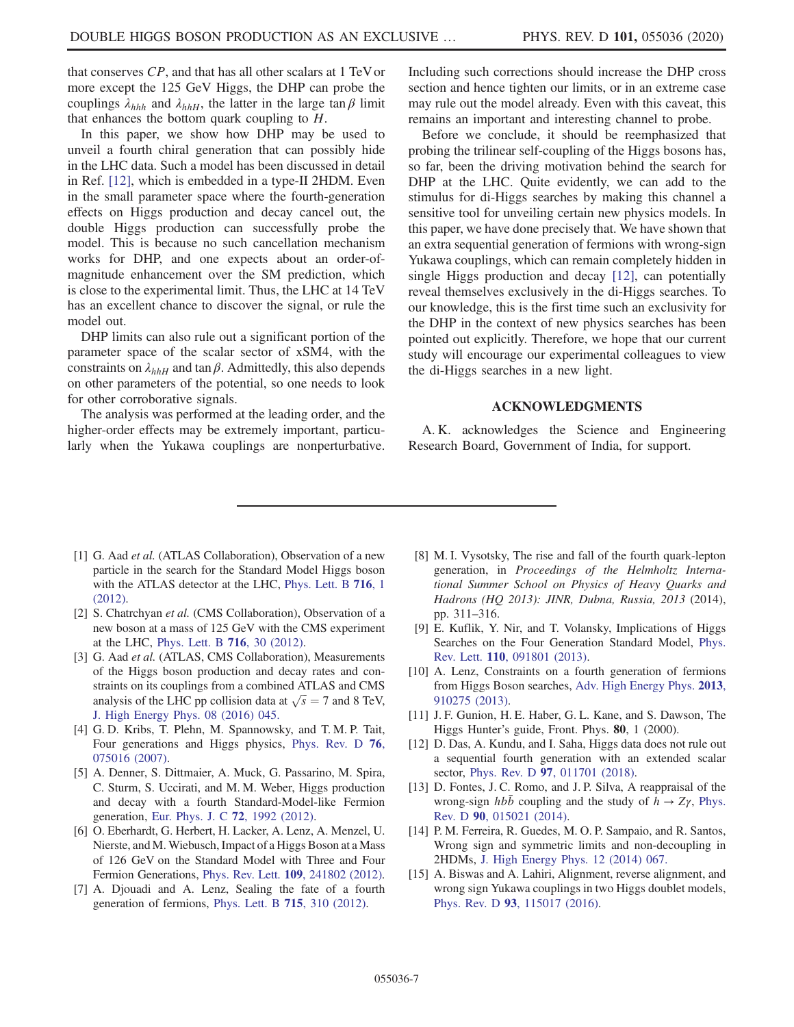that conserves CP, and that has all other scalars at 1 TeV or more except the 125 GeV Higgs, the DHP can probe the couplings  $\lambda_{hhh}$  and  $\lambda_{hhh}$ , the latter in the large tan  $\beta$  limit that enhances the bottom quark coupling to  $H$ .

In this paper, we show how DHP may be used to unveil a fourth chiral generation that can possibly hide in the LHC data. Such a model has been discussed in detail in Ref. [12], which is embedded in a type-II 2HDM. Even in the small parameter space where the fourth-generation effects on Higgs production and decay cancel out, the double Higgs production can successfully probe the model. This is because no such cancellation mechanism works for DHP, and one expects about an order-ofmagnitude enhancement over the SM prediction, which is close to the experimental limit. Thus, the LHC at 14 TeV has an excellent chance to discover the signal, or rule the model out.

DHP limits can also rule out a significant portion of the parameter space of the scalar sector of xSM4, with the constraints on  $\lambda_{hhH}$  and tan  $\beta$ . Admittedly, this also depends on other parameters of the potential, so one needs to look for other corroborative signals.

The analysis was performed at the leading order, and the higher-order effects may be extremely important, particularly when the Yukawa couplings are nonperturbative. Including such corrections should increase the DHP cross section and hence tighten our limits, or in an extreme case may rule out the model already. Even with this caveat, this remains an important and interesting channel to probe.

Before we conclude, it should be reemphasized that probing the trilinear self-coupling of the Higgs bosons has, so far, been the driving motivation behind the search for DHP at the LHC. Quite evidently, we can add to the stimulus for di-Higgs searches by making this channel a sensitive tool for unveiling certain new physics models. In this paper, we have done precisely that. We have shown that an extra sequential generation of fermions with wrong-sign Yukawa couplings, which can remain completely hidden in single Higgs production and decay [12], can potentially reveal themselves exclusively in the di-Higgs searches. To our knowledge, this is the first time such an exclusivity for the DHP in the context of new physics searches has been pointed out explicitly. Therefore, we hope that our current study will encourage our experimental colleagues to view the di-Higgs searches in a new light.

### ACKNOWLEDGMENTS

A. K. acknowledges the Science and Engineering Research Board, Government of India, for support.

- [1] G. Aad *et al.* (ATLAS Collaboration), Observation of a new particle in the search for the Standard Model Higgs boson with the ATLAS detector at the LHC, Phys. Lett. B 716, 1 (2012).
- [2] S. Chatrchyan *et al.* (CMS Collaboration), Observation of a new boson at a mass of 125 GeV with the CMS experiment at the LHC, Phys. Lett. B 716, 30 (2012).
- [3] G. Aad et al. (ATLAS, CMS Collaboration), Measurements of the Higgs boson production and decay rates and constraints on its couplings from a combined ATLAS and CMS analysis of the LHC pp collision data at  $\sqrt{s} = 7$  and 8 TeV, J. High Energy Phys. 08 (2016) 045.
- [4] G. D. Kribs, T. Plehn, M. Spannowsky, and T. M. P. Tait, Four generations and Higgs physics, Phys. Rev. D 76, 075016 (2007).
- [5] A. Denner, S. Dittmaier, A. Muck, G. Passarino, M. Spira, C. Sturm, S. Uccirati, and M. M. Weber, Higgs production and decay with a fourth Standard-Model-like Fermion generation, Eur. Phys. J. C 72, 1992 (2012).
- [6] O. Eberhardt, G. Herbert, H. Lacker, A. Lenz, A. Menzel, U. Nierste, and M. Wiebusch, Impact of a Higgs Boson at a Mass of 126 GeV on the Standard Model with Three and Four Fermion Generations, Phys. Rev. Lett. 109, 241802 (2012).
- [7] A. Djouadi and A. Lenz, Sealing the fate of a fourth generation of fermions, Phys. Lett. B 715, 310 (2012).
- [8] M. I. Vysotsky, The rise and fall of the fourth quark-lepton generation, in *Proceedings of the Helmholtz International Summer School on Physics of Heavy Quarks and Hadrons (HQ 2013): JINR, Dubna, Russia, 2013* (2014), pp. 311–316.
- [9] E. Kuflik, Y. Nir, and T. Volansky, Implications of Higgs Searches on the Four Generation Standard Model, Phys. Rev. Lett. 110, 091801 (2013).
- [10] A. Lenz, Constraints on a fourth generation of fermions from Higgs Boson searches, Adv. High Energy Phys. 2013, 910275 (2013).
- [11] J. F. Gunion, H. E. Haber, G. L. Kane, and S. Dawson, The Higgs Hunter's guide, Front. Phys. 80, 1 (2000).
- [12] D. Das, A. Kundu, and I. Saha, Higgs data does not rule out a sequential fourth generation with an extended scalar sector, Phys. Rev. D 97, 011701 (2018).
- [13] D. Fontes, J. C. Romo, and J. P. Silva, A reappraisal of the wrong-sign  $hb\bar{b}$  coupling and the study of  $h \rightarrow Z\gamma$ , Phys. Rev. D 90, 015021 (2014).
- [14] P. M. Ferreira, R. Guedes, M. O. P. Sampaio, and R. Santos, Wrong sign and symmetric limits and non-decoupling in 2HDMs, J. High Energy Phys. 12 (2014) 067.
- [15] A. Biswas and A. Lahiri, Alignment, reverse alignment, and wrong sign Yukawa couplings in two Higgs doublet models, Phys. Rev. D 93, 115017 (2016).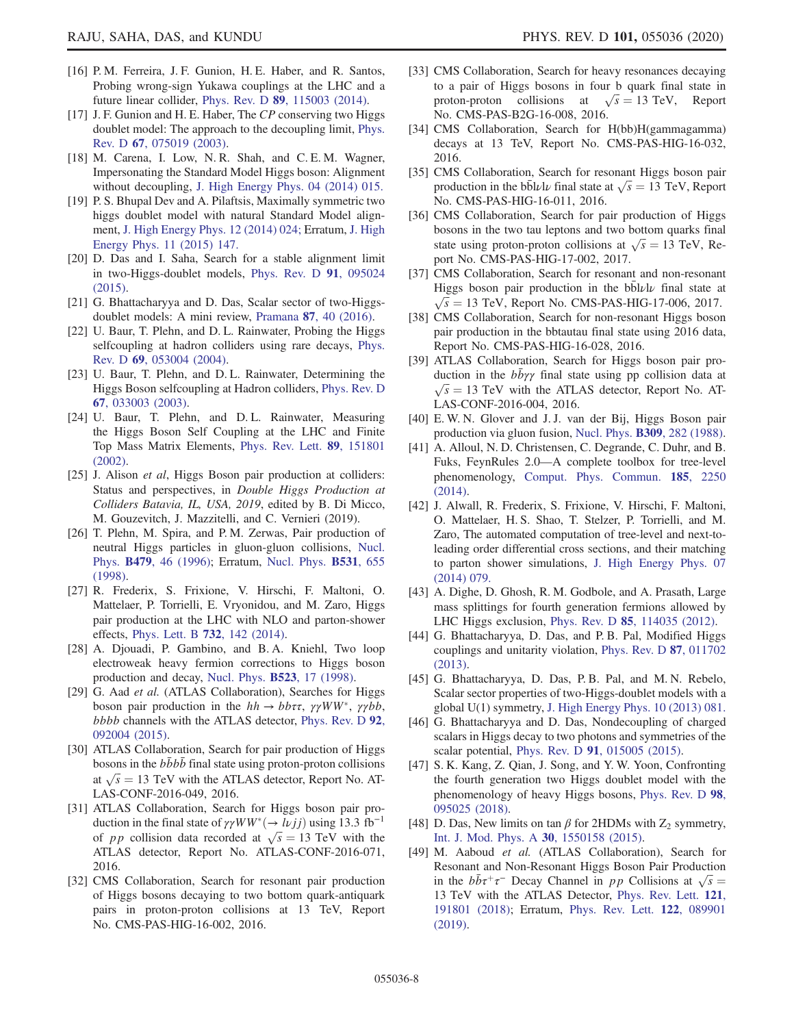- [16] P. M. Ferreira, J. F. Gunion, H. E. Haber, and R. Santos, Probing wrong-sign Yukawa couplings at the LHC and a future linear collider, Phys. Rev. D 89, 115003 (2014).
- [17] J. F. Gunion and H. E. Haber, The CP conserving two Higgs doublet model: The approach to the decoupling limit, Phys. Rev. D 67, 075019 (2003).
- [18] M. Carena, I. Low, N.R. Shah, and C.E.M. Wagner, Impersonating the Standard Model Higgs boson: Alignment without decoupling, J. High Energy Phys. 04 (2014) 015.
- [19] P. S. Bhupal Dev and A. Pilaftsis, Maximally symmetric two higgs doublet model with natural Standard Model alignment, J. High Energy Phys. 12 (2014) 024; Erratum, J. High Energy Phys. 11 (2015) 147.
- [20] D. Das and I. Saha, Search for a stable alignment limit in two-Higgs-doublet models, Phys. Rev. D 91, 095024 (2015).
- [21] G. Bhattacharyya and D. Das, Scalar sector of two-Higgsdoublet models: A mini review, Pramana 87, 40 (2016).
- [22] U. Baur, T. Plehn, and D. L. Rainwater, Probing the Higgs selfcoupling at hadron colliders using rare decays, Phys. Rev. D 69, 053004 (2004).
- [23] U. Baur, T. Plehn, and D. L. Rainwater, Determining the Higgs Boson selfcoupling at Hadron colliders, Phys. Rev. D 67, 033003 (2003).
- [24] U. Baur, T. Plehn, and D.L. Rainwater, Measuring the Higgs Boson Self Coupling at the LHC and Finite Top Mass Matrix Elements, Phys. Rev. Lett. 89, 151801 (2002).
- [25] J. Alison *et al*, Higgs Boson pair production at colliders: Status and perspectives, in *Double Higgs Production at Colliders Batavia, IL, USA, 2019*, edited by B. Di Micco, M. Gouzevitch, J. Mazzitelli, and C. Vernieri (2019).
- [26] T. Plehn, M. Spira, and P. M. Zerwas, Pair production of neutral Higgs particles in gluon-gluon collisions, Nucl. Phys. B479, 46 (1996); Erratum, Nucl. Phys. B531, 655 (1998).
- [27] R. Frederix, S. Frixione, V. Hirschi, F. Maltoni, O. Mattelaer, P. Torrielli, E. Vryonidou, and M. Zaro, Higgs pair production at the LHC with NLO and parton-shower effects, Phys. Lett. B 732, 142 (2014).
- [28] A. Djouadi, P. Gambino, and B. A. Kniehl, Two loop electroweak heavy fermion corrections to Higgs boson production and decay, Nucl. Phys. B523, 17 (1998).
- [29] G. Aad *et al.* (ATLAS Collaboration), Searches for Higgs boson pair production in the  $hh \rightarrow bb\tau\tau$ ,  $\gamma\gamma WW^*$ ,  $\gamma\gamma bb$ , bbbb channels with the ATLAS detector, Phys. Rev. D 92, 092004 (2015).
- [30] ATLAS Collaboration, Search for pair production of Higgs  $\overline{b}$  bosons in the  $b\bar{b}b\bar{b}$  final state using proton-proton collisions at  $\sqrt{s} = 13$  TeV with the ATLAS detector, Report No. AT-LAS-CONF-2016-049, 2016.
- [31] ATLAS Collaboration, Search for Higgs boson pair production in the final state of  $\gamma \gamma WW^* (\rightarrow l\nu jj)$  using 13.3 fb<sup>-1</sup> of *pp* collision data recorded at  $\sqrt{s} = 13$  TeV with the ATLAS detector, Report No. ATLAS-CONF-2016-071, 2016.
- [32] CMS Collaboration, Search for resonant pair production of Higgs bosons decaying to two bottom quark-antiquark pairs in proton-proton collisions at 13 TeV, Report No. CMS-PAS-HIG-16-002, 2016.
- [33] CMS Collaboration, Search for heavy resonances decaying to a pair of Higgs bosons in four b quark final state in proton-proton collisions at  $\sqrt{s} = 13$  TeV, Report No. CMS-PAS-B2G-16-008, 2016.
- [34] CMS Collaboration, Search for H(bb)H(gammagamma) decays at 13 TeV, Report No. CMS-PAS-HIG-16-032, 2016.
- [35] CMS Collaboration, Search for resonant Higgs boson pair production in the bbl $\nu\mu$  final state at  $\sqrt{s} = 13$  TeV, Report No. CMS-PAS-HIG-16-011, 2016.
- [36] CMS Collaboration, Search for pair production of Higgs bosons in the two tau leptons and two bottom quarks final state using proton-proton collisions at  $\sqrt{s} = 13$  TeV, Report No. CMS-PAS-HIG-17-002, 2017.
- [37] CMS Collaboration, Search for resonant and non-resonant Higgs boson pair production in the bbl $\nu\mu$  final state at  $\sqrt{s}$  = 13 TeV, Report No. CMS-PAS-HIG-17-006, 2017.
- [38] CMS Collaboration, Search for non-resonant Higgs boson pair production in the bbtautau final state using 2016 data, Report No. CMS-PAS-HIG-16-028, 2016.
- [39] ATLAS Collaboration, Search for Higgs boson pair production in the  $bb\gamma\gamma$  final state using pp collision data at  $\sqrt{s}$  = 13 TeV with the ATLAS detector, Report No. AT-LAS-CONF-2016-004, 2016.
- [40] E. W. N. Glover and J. J. van der Bij, Higgs Boson pair production via gluon fusion, Nucl. Phys. B309, 282 (1988).
- [41] A. Alloul, N. D. Christensen, C. Degrande, C. Duhr, and B. Fuks, FeynRules 2.0—A complete toolbox for tree-level phenomenology, Comput. Phys. Commun. 185, 2250 (2014).
- [42] J. Alwall, R. Frederix, S. Frixione, V. Hirschi, F. Maltoni, O. Mattelaer, H. S. Shao, T. Stelzer, P. Torrielli, and M. Zaro, The automated computation of tree-level and next-toleading order differential cross sections, and their matching to parton shower simulations, J. High Energy Phys. 07 (2014) 079.
- [43] A. Dighe, D. Ghosh, R. M. Godbole, and A. Prasath, Large mass splittings for fourth generation fermions allowed by LHC Higgs exclusion, Phys. Rev. D 85, 114035 (2012).
- [44] G. Bhattacharyya, D. Das, and P. B. Pal, Modified Higgs couplings and unitarity violation, Phys. Rev. D 87, 011702 (2013).
- [45] G. Bhattacharyya, D. Das, P.B. Pal, and M.N. Rebelo, Scalar sector properties of two-Higgs-doublet models with a global U(1) symmetry, J. High Energy Phys. 10 (2013) 081.
- [46] G. Bhattacharyya and D. Das, Nondecoupling of charged scalars in Higgs decay to two photons and symmetries of the scalar potential, Phys. Rev. D 91, 015005 (2015).
- [47] S. K. Kang, Z. Qian, J. Song, and Y. W. Yoon, Confronting the fourth generation two Higgs doublet model with the phenomenology of heavy Higgs bosons, Phys. Rev. D 98, 095025 (2018).
- [48] D. Das, New limits on tan  $\beta$  for 2HDMs with  $Z_2$  symmetry, Int. J. Mod. Phys. A 30, 1550158 (2015).
- [49] M. Aaboud *et al.* (ATLAS Collaboration), Search for Resonant and Non-Resonant Higgs Boson Pair Production in the  $b\bar{b}\tau^{+}\tau^{-}$  Decay Channel in pp Collisions at  $\sqrt{s} =$ 13 TeV with the ATLAS Detector, Phys. Rev. Lett. 121, 191801 (2018); Erratum, Phys. Rev. Lett. 122, 089901 (2019).